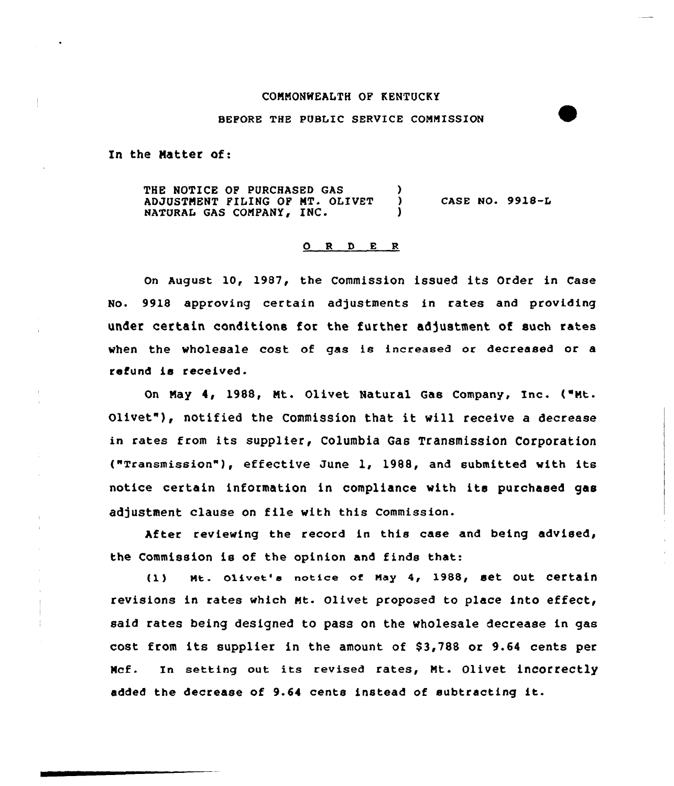#### COMMONWEALTH OF KENTUCKY

## BEFORE THE PUBLIC SERVICE COMMISSION

In the Matter of:

THE NOTICE OF PURCHASED GAS (3) ADJUSTMENT FILING OF MT. OLIVET NATURAL GAS COMPANY, INC. CASE NO. 9918-L

### ORDER

On August 10, 1987, the Commission issued its Order in Case No. 9918 approving certain adjustments in rates and providing under certain conditions for the further adjustment of such rates when the wholesale cost of gas is increased or decreased or a refund is received.

On May 4, 1988, Ht. Olivet Natural Gas Company, Inc. ("Mt. Olivet"), notified the Commission that it will receive <sup>a</sup> decrease in rates from its supplier, Columbia Gas Transmission Corporation ("TransmissiOn" ), effeCtive June l, 1988, and submitted with its notice certain information in compliance with its purchased gas adjustment clause on file with this Commission.

After reviewing the record in this case and being advised, the Commission ie of the opinion and finds that:

(1) Mt. Olivet's notice of May 4, 1988, set Out Certain revisions in rates which Mt. Olivet proposed to place into effect, said rates being designed to pass on the wholesale decrease in gas cost from its supplier in the amount of  $$3,788$  or 9.64 cents per Hcf. In setting out its revised rates, Mt. olivet incorrectly added the decrease of 9.64 cents instead of subtracting it.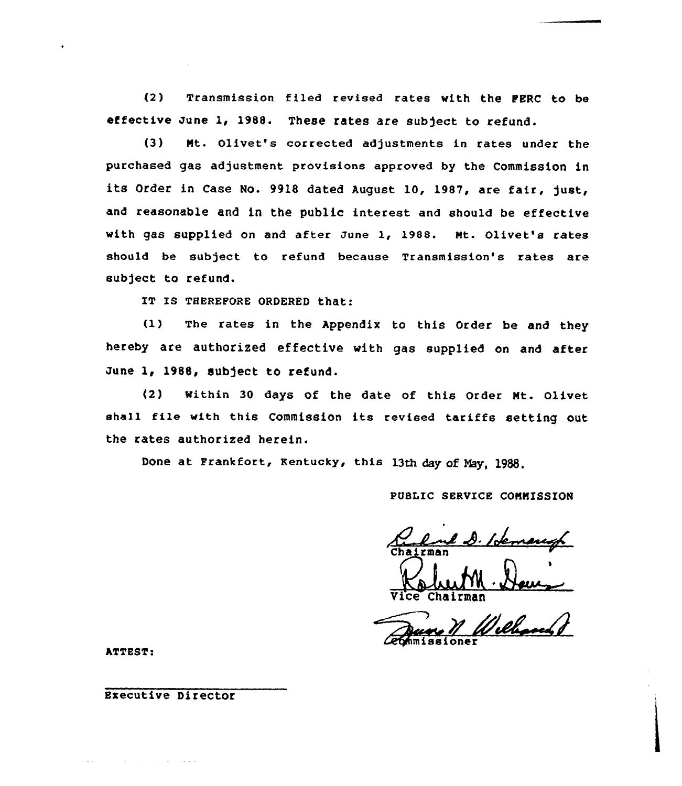(2) Transmission filed revised rates with the FERC to be effective June 1, 1988. These rates are subject to refund.

(3) Nt. Olivet's corrected adjustments in rates under the purchased gas adjustment provisions approved by the Commission in its Order in Case No. 9918 dated August l0, 1987, are fair, just, and reasonable and in the public interest and should be effective with gas supplied on and after June 1, 1988. Mt. Olivet's rates should be subject to refund because Transmission's rates are subject to refund.

IT Is THEREFoRE GRDERED that:

(1) The rates in the Appendix to this Order be and they hereby are authorized effective with gas supplied on and after June 1, 1988, subject to refund.

(2) within 30 days of the date of this Order Mt. Olivet shall file with this Commission its revised tariffs setting out the rates authorized herein.

Done at Frankfort, Kentucky, this 13th day of Nay, l933,

PUBLIC SERVICE COMMISSION

Vice Chairma

*<u>Cechmissione</u>* 

ATTEST:

Executive Director